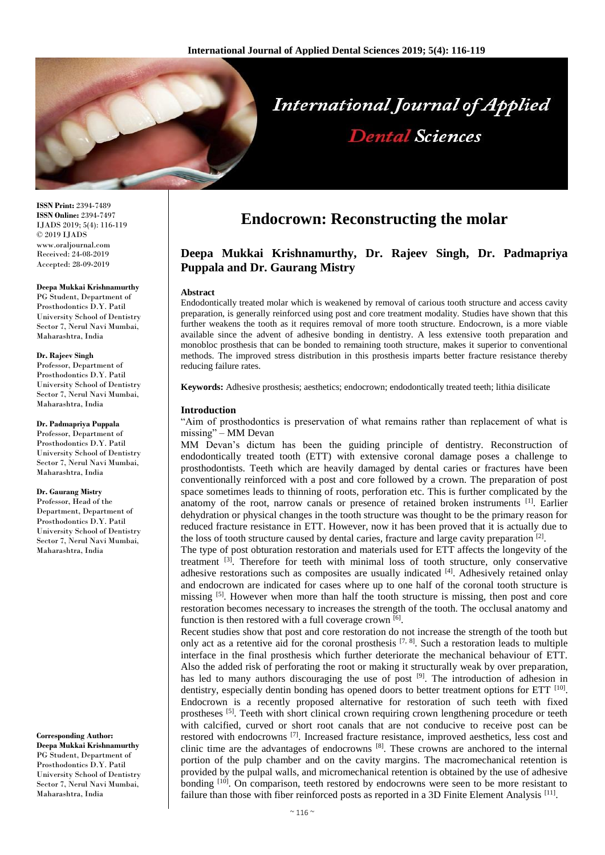

**ISSN Print:** 2394-7489 **ISSN Online:** 2394-7497 IJADS 2019; 5(4): 116-119 © 2019 IJADS www.oraljournal.com Received: 24-08-2019 Accepted: 28-09-2019

#### **Deepa Mukkai Krishnamurthy**

PG Student, Department of Prosthodontics D.Y. Patil University School of Dentistry Sector 7, Nerul Navi Mumbai, Maharashtra, India

#### **Dr. Rajeev Singh**

Professor, Department of Prosthodontics D.Y. Patil University School of Dentistry Sector 7, Nerul Navi Mumbai, Maharashtra, India

#### **Dr. Padmapriya Puppala**

Professor, Department of Prosthodontics D.Y. Patil University School of Dentistry Sector 7, Nerul Navi Mumbai, Maharashtra, India

#### **Dr. Gaurang Mistry**

Professor, Head of the Department, Department of Prosthodontics D.Y. Patil University School of Dentistry Sector 7, Nerul Navi Mumbai, Maharashtra, India

**Corresponding Author: Deepa Mukkai Krishnamurthy** PG Student, Department of Prosthodontics D.Y. Patil University School of Dentistry Sector 7, Nerul Navi Mumbai, Maharashtra, India

# **Endocrown: Reconstructing the molar**

## **Deepa Mukkai Krishnamurthy, Dr. Rajeev Singh, Dr. Padmapriya Puppala and Dr. Gaurang Mistry**

#### **Abstract**

Endodontically treated molar which is weakened by removal of carious tooth structure and access cavity preparation, is generally reinforced using post and core treatment modality. Studies have shown that this further weakens the tooth as it requires removal of more tooth structure. Endocrown, is a more viable available since the advent of adhesive bonding in dentistry. A less extensive tooth preparation and monobloc prosthesis that can be bonded to remaining tooth structure, makes it superior to conventional methods. The improved stress distribution in this prosthesis imparts better fracture resistance thereby reducing failure rates.

**Keywords:** Adhesive prosthesis; aesthetics; endocrown; endodontically treated teeth; lithia disilicate

#### **Introduction**

"Aim of prosthodontics is preservation of what remains rather than replacement of what is missing" – MM Devan

MM Devan's dictum has been the guiding principle of dentistry. Reconstruction of endodontically treated tooth (ETT) with extensive coronal damage poses a challenge to prosthodontists. Teeth which are heavily damaged by dental caries or fractures have been conventionally reinforced with a post and core followed by a crown. The preparation of post space sometimes leads to thinning of roots, perforation etc. This is further complicated by the anatomy of the root, narrow canals or presence of retained broken instruments [1]. Earlier dehydration or physical changes in the tooth structure was thought to be the primary reason for reduced fracture resistance in ETT. However, now it has been proved that it is actually due to the loss of tooth structure caused by dental caries, fracture and large cavity preparation [2].

The type of post obturation restoration and materials used for ETT affects the longevity of the treatment <sup>[3]</sup>. Therefore for teeth with minimal loss of tooth structure, only conservative adhesive restorations such as composites are usually indicated [4]. Adhesively retained onlay and endocrown are indicated for cases where up to one half of the coronal tooth structure is missing <sup>[5]</sup>. However when more than half the tooth structure is missing, then post and core restoration becomes necessary to increases the strength of the tooth. The occlusal anatomy and function is then restored with a full coverage crown  $[6]$ .

Recent studies show that post and core restoration do not increase the strength of the tooth but only act as a retentive aid for the coronal prosthesis  $[7, 8]$ . Such a restoration leads to multiple interface in the final prosthesis which further deteriorate the mechanical behaviour of ETT. Also the added risk of perforating the root or making it structurally weak by over preparation, has led to many authors discouraging the use of post <sup>[9]</sup>. The introduction of adhesion in dentistry, especially dentin bonding has opened doors to better treatment options for ETT <sup>[10]</sup>. Endocrown is a recently proposed alternative for restoration of such teeth with fixed prostheses [5]. Teeth with short clinical crown requiring crown lengthening procedure or teeth with calcified, curved or short root canals that are not conducive to receive post can be restored with endocrowns <sup>[7]</sup>. Increased fracture resistance, improved aesthetics, less cost and clinic time are the advantages of endocrowns [8]. These crowns are anchored to the internal portion of the pulp chamber and on the cavity margins. The macromechanical retention is provided by the pulpal walls, and micromechanical retention is obtained by the use of adhesive bonding <sup>[10]</sup>. On comparison, teeth restored by endocrowns were seen to be more resistant to failure than those with fiber reinforced posts as reported in a 3D Finite Element Analysis<sup>[11]</sup>.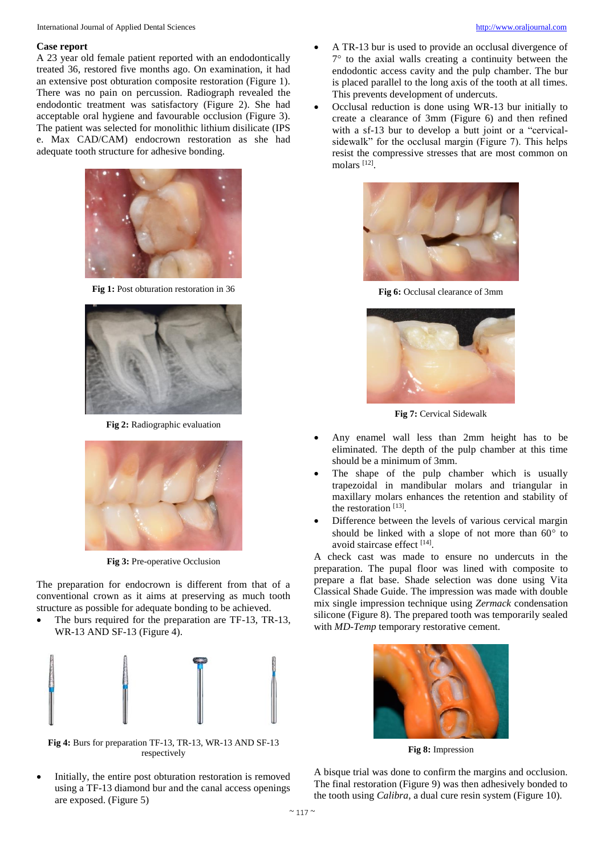#### **Case report**

A 23 year old female patient reported with an endodontically treated 36, restored five months ago. On examination, it had an extensive post obturation composite restoration (Figure 1). There was no pain on percussion. Radiograph revealed the endodontic treatment was satisfactory (Figure 2). She had acceptable oral hygiene and favourable occlusion (Figure 3). The patient was selected for monolithic lithium disilicate (IPS e. Max CAD/CAM) endocrown restoration as she had adequate tooth structure for adhesive bonding.



**Fig 1:** Post obturation restoration in 36



**Fig 2:** Radiographic evaluation



**Fig 3:** Pre-operative Occlusion

The preparation for endocrown is different from that of a conventional crown as it aims at preserving as much tooth structure as possible for adequate bonding to be achieved.

 The burs required for the preparation are TF-13, TR-13, WR-13 AND SF-13 (Figure 4).



**Fig 4:** Burs for preparation TF-13, TR-13, WR-13 AND SF-13 respectively

 Initially, the entire post obturation restoration is removed using a TF-13 diamond bur and the canal access openings are exposed. (Figure 5)

- A TR-13 bur is used to provide an occlusal divergence of  $7^{\circ}$  to the axial walls creating a continuity between the endodontic access cavity and the pulp chamber. The bur is placed parallel to the long axis of the tooth at all times. This prevents development of undercuts.
- Occlusal reduction is done using WR-13 bur initially to create a clearance of 3mm (Figure 6) and then refined with a sf-13 bur to develop a butt joint or a "cervicalsidewalk" for the occlusal margin (Figure 7). This helps resist the compressive stresses that are most common on molars [12] .



**Fig 6:** Occlusal clearance of 3mm



**Fig 7:** Cervical Sidewalk

- Any enamel wall less than 2mm height has to be eliminated. The depth of the pulp chamber at this time should be a minimum of 3mm.
- The shape of the pulp chamber which is usually trapezoidal in mandibular molars and triangular in maxillary molars enhances the retention and stability of the restoration [13].
- Difference between the levels of various cervical margin should be linked with a slope of not more than  $60^{\circ}$  to avoid staircase effect [14].

A check cast was made to ensure no undercuts in the preparation. The pupal floor was lined with composite to prepare a flat base. Shade selection was done using Vita Classical Shade Guide. The impression was made with double mix single impression technique using *Zermack* condensation silicone (Figure 8). The prepared tooth was temporarily sealed with *MD-Temp* temporary restorative cement.



**Fig 8:** Impression

A bisque trial was done to confirm the margins and occlusion. The final restoration (Figure 9) was then adhesively bonded to the tooth using *Calibra*, a dual cure resin system (Figure 10).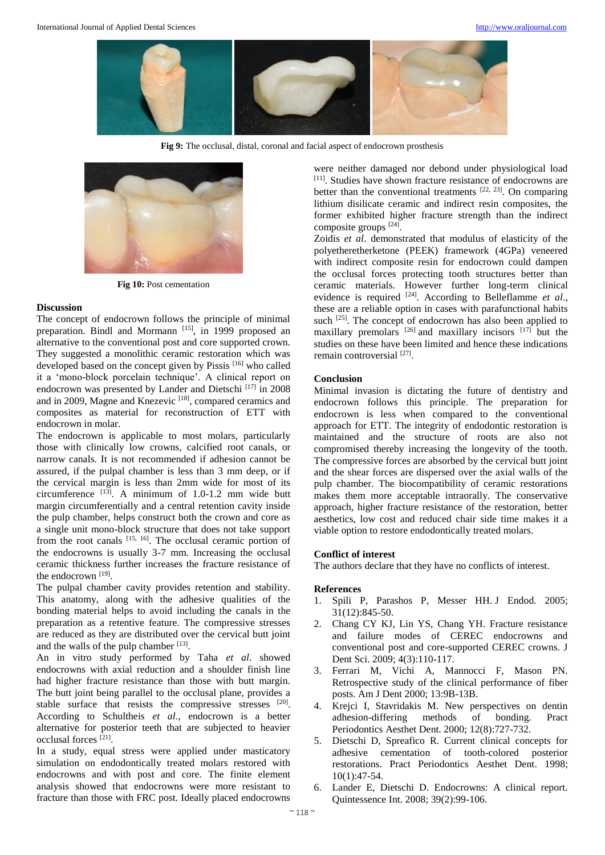

**Fig 9:** The occlusal, distal, coronal and facial aspect of endocrown prosthesis



**Fig 10:** Post cementation

## **Discussion**

The concept of endocrown follows the principle of minimal preparation. Bindl and Mormann<sup>[15]</sup>, in 1999 proposed an alternative to the conventional post and core supported crown. They suggested a monolithic ceramic restoration which was developed based on the concept given by Pissis [16] who called it a 'mono-block porcelain technique'. A clinical report on endocrown was presented by Lander and Dietschi<sup>[17]</sup> in 2008 and in 2009, Magne and Knezevic<sup>[18]</sup>, compared ceramics and composites as material for reconstruction of ETT with endocrown in molar.

The endocrown is applicable to most molars, particularly those with clinically low crowns, calcified root canals, or narrow canals. It is not recommended if adhesion cannot be assured, if the pulpal chamber is less than 3 mm deep, or if the cervical margin is less than 2mm wide for most of its circumference  $^{[13]}$ . A minimum of 1.0-1.2 mm wide butt margin circumferentially and a central retention cavity inside the pulp chamber, helps construct both the crown and core as a single unit mono-block structure that does not take support from the root canals [15, 16]. The occlusal ceramic portion of the endocrowns is usually 3-7 mm. Increasing the occlusal ceramic thickness further increases the fracture resistance of the endocrown [19].

The pulpal chamber cavity provides retention and stability. This anatomy, along with the adhesive qualities of the bonding material helps to avoid including the canals in the preparation as a retentive feature. The compressive stresses are reduced as they are distributed over the cervical butt joint and the walls of the pulp chamber [13].

An in vitro study performed by Taha *et al*. showed endocrowns with axial reduction and a shoulder finish line had higher fracture resistance than those with butt margin. The butt joint being parallel to the occlusal plane, provides a stable surface that resists the compressive stresses [20]. According to Schultheis *et al*., endocrown is a better alternative for posterior teeth that are subjected to heavier occlusal forces [21] .

In a study, equal stress were applied under masticatory simulation on endodontically treated molars restored with endocrowns and with post and core. The finite element analysis showed that endocrowns were more resistant to fracture than those with FRC post. Ideally placed endocrowns

were neither damaged nor debond under physiological load [11] . Studies have shown fracture resistance of endocrowns are better than the conventional treatments  $[22, 23]$ . On comparing lithium disilicate ceramic and indirect resin composites, the former exhibited higher fracture strength than the indirect composite groups [24] .

Zoidis *et al*. demonstrated that modulus of elasticity of the polyetheretherketone (PEEK) framework (4GPa) veneered with indirect composite resin for endocrown could dampen the occlusal forces protecting tooth structures better than ceramic materials. However further long-term clinical evidence is required <sup>[24]</sup>. According to Belleflamme *et al.*, these are a reliable option in cases with parafunctional habits such  $^{[25]}$ . The concept of endocrown has also been applied to maxillary premolars  $[26]$  and maxillary incisors  $[17]$  but the studies on these have been limited and hence these indications remain controversial [27].

## **Conclusion**

Minimal invasion is dictating the future of dentistry and endocrown follows this principle. The preparation for endocrown is less when compared to the conventional approach for ETT. The integrity of endodontic restoration is maintained and the structure of roots are also not compromised thereby increasing the longevity of the tooth. The compressive forces are absorbed by the cervical butt joint and the shear forces are dispersed over the axial walls of the pulp chamber. The biocompatibility of ceramic restorations makes them more acceptable intraorally. The conservative approach, higher fracture resistance of the restoration, better aesthetics, low cost and reduced chair side time makes it a viable option to restore endodontically treated molars.

## **Conflict of interest**

The authors declare that they have no conflicts of interest.

## **References**

- 1. Spili P, Parashos P, Messer HH. J Endod. 2005; 31(12):845-50.
- 2. Chang CY KJ, Lin YS, Chang YH. Fracture resistance and failure modes of CEREC endocrowns and conventional post and core-supported CEREC crowns. J Dent Sci. 2009; 4(3):110-117.
- 3. Ferrari M, Vichi A, Mannocci F, Mason PN. Retrospective study of the clinical performance of fiber posts. Am J Dent 2000; 13:9B-13B.
- 4. Krejci I, Stavridakis M. New perspectives on dentin adhesion-differing methods of bonding. Pract Periodontics Aesthet Dent. 2000; 12(8):727-732.
- 5. Dietschi D, Spreafico R. Current clinical concepts for adhesive cementation of tooth-colored posterior restorations. Pract Periodontics Aesthet Dent. 1998; 10(1):47-54.
- 6. Lander E, Dietschi D. Endocrowns: A clinical report. Quintessence Int. 2008; 39(2):99-106.